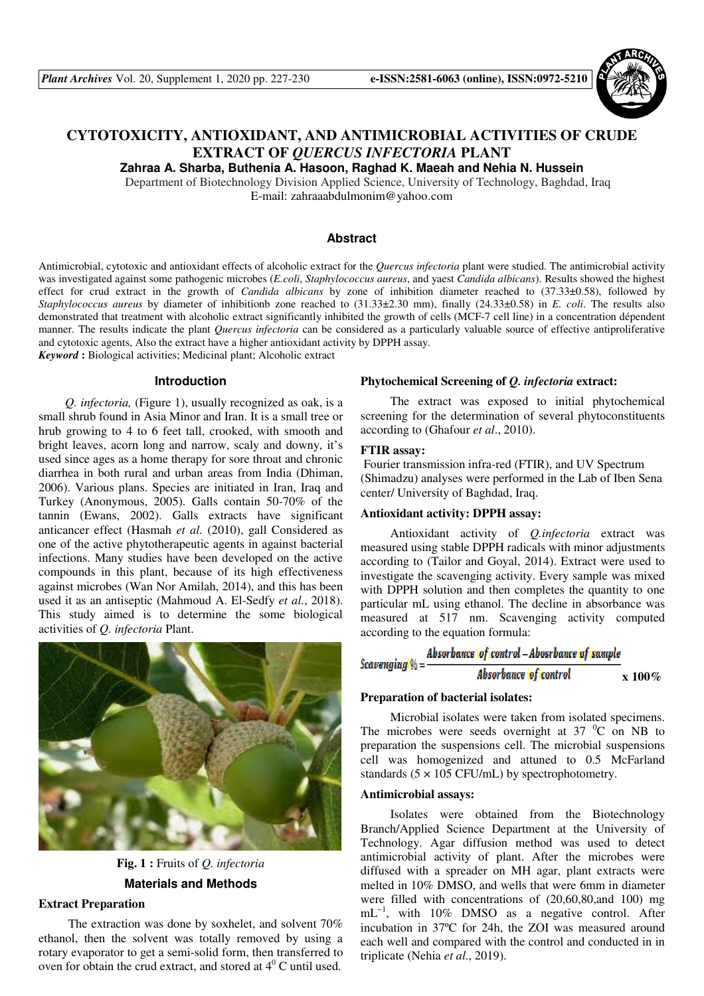

# **CYTOTOXICITY, ANTIOXIDANT, AND ANTIMICROBIAL ACTIVITIES OF CRUDE EXTRACT OF** *QUERCUS INFECTORIA* **PLANT**

**Zahraa A. Sharba, Buthenia A. Hasoon, Raghad K. Maeah and Nehia N. Hussein**

Department of Biotechnology Division Applied Science, University of Technology, Baghdad, Iraq E-mail: zahraaabdulmonim@yahoo.com

#### **Abstract**

Antimicrobial, cytotoxic and antioxidant effects of alcoholic extract for the *Quercus infectoria* plant were studied. The antimicrobial activity was investigated against some pathogenic microbes (*E.coli*, *Staphylococcus aureus*, and yaest *Candida albicans*). Results showed the highest effect for crud extract in the growth of *Candida albicans* by zone of inhibition diameter reached to (37.33±0.58), followed by *Staphylococcus aureus* by diameter of inhibitionb zone reached to (31.33±2.30 mm), finally (24.33±0.58) in *E. coli*. The results also demonstrated that treatment with alcoholic extract significantly inhibited the growth of cells (MCF-7 cell line) in a concentration dépendent manner. The results indicate the plant *Quercus infectoria* can be considered as a particularly valuable source of effective antiproliferative and cytotoxic agents, Also the extract have a higher antioxidant activity by DPPH assay. *Keyword* **:** Biological activities; Medicinal plant; Alcoholic extract

**Introduction** 

*Q. infectoria,* (Figure 1), usually recognized as oak, is a small shrub found in Asia Minor and Iran. It is a small tree or hrub growing to 4 to 6 feet tall, crooked, with smooth and bright leaves, acorn long and narrow, scaly and downy, it's used since ages as a home therapy for sore throat and chronic diarrhea in both rural and urban areas from India (Dhiman, 2006). Various plans. Species are initiated in Iran, Iraq and Turkey (Anonymous, 2005). Galls contain 50-70% of the tannin (Ewans, 2002). Galls extracts have significant anticancer effect (Hasmah *et al.* (2010), gall Considered as one of the active phytotherapeutic agents in against bacterial infections. Many studies have been developed on the active compounds in this plant, because of its high effectiveness against microbes (Wan Nor Amilah, 2014), and this has been used it as an antiseptic (Mahmoud A. El-Sedfy *et al.*, 2018). This study aimed is to determine the some biological activities of *Q. infectoria* Plant.



**Fig. 1 :** Fruits of *Q. infectoria* **Materials and Methods** 

## **Extract Preparation**

 The extraction was done by soxhelet, and solvent 70% ethanol, then the solvent was totally removed by using a rotary evaporator to get a semi-solid form, then transferred to oven for obtain the crud extract, and stored at  $4^{\circ}$ C until used.

## **Phytochemical Screening of** *Q. infectoria* **extract:**

 The extract was exposed to initial phytochemical screening for the determination of several phytoconstituents according to (Ghafour *et al*., 2010).

#### **FTIR assay:**

 Fourier transmission infra-red (FTIR), and UV Spectrum (Shimadzu) analyses were performed in the Lab of Iben Sena center/ University of Baghdad, Iraq.

## **Antioxidant activity: DPPH assay:**

 Antioxidant activity of *Q.infectoria* extract was measured using stable DPPH radicals with minor adjustments according to (Tailor and Goyal, 2014). Extract were used to investigate the scavenging activity. Every sample was mixed with DPPH solution and then completes the quantity to one particular mL using ethanol. The decline in absorbance was measured at 517 nm. Scavenging activity computed according to the equation formula:

| $Scavending \% =$ | Absorbance ioficontrol - Abosrbance of sample |                |
|-------------------|-----------------------------------------------|----------------|
|                   | Absorbance of control                         | $\bf x\,100\%$ |

#### **Preparation of bacterial isolates:**

Microbial isolates were taken from isolated specimens. The microbes were seeds overnight at  $37\text{ °C}$  on NB to preparation the suspensions cell. The microbial suspensions cell was homogenized and attuned to 0.5 McFarland standards  $(5 \times 105 \text{ CFU/mL})$  by spectrophotometry.

## **Antimicrobial assays:**

 Isolates were obtained from the Biotechnology Branch/Applied Science Department at the University of Technology. Agar diffusion method was used to detect antimicrobial activity of plant. After the microbes were diffused with a spreader on MH agar, plant extracts were melted in 10% DMSO, and wells that were 6mm in diameter were filled with concentrations of (20,60,80,and 100) mg mL<sup>-1</sup>, with 10% DMSO as a negative control. After incubation in 37ºC for 24h, the ZOI was measured around each well and compared with the control and conducted in in triplicate (Nehia *et al*., 2019).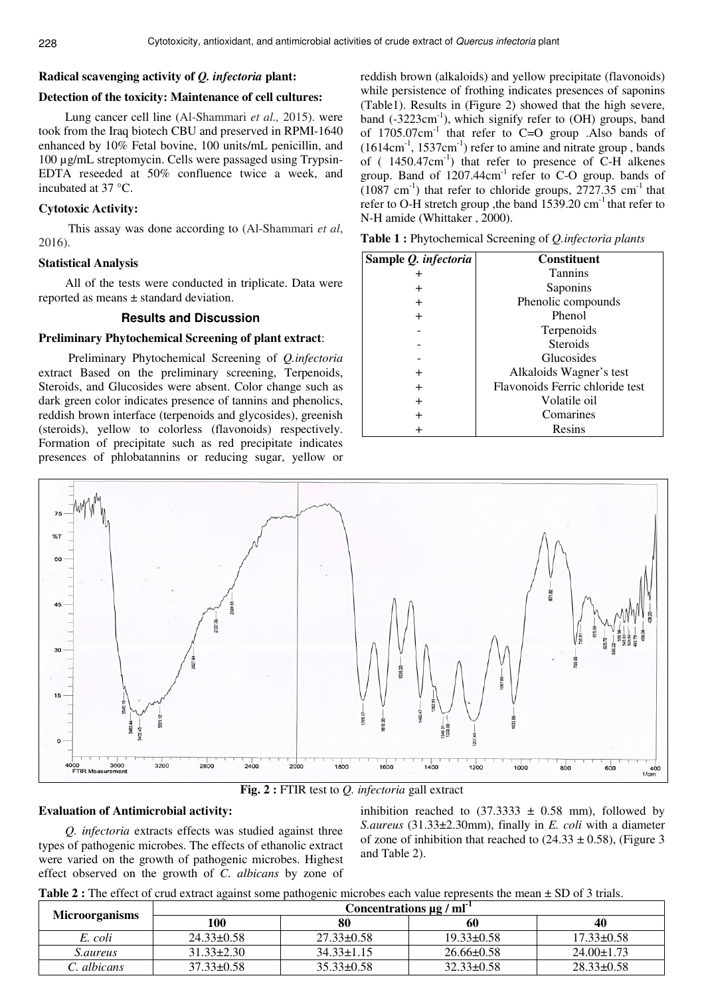## **Radical scavenging activity of** *Q. infectoria* **plant:**

## **Detection of the toxicity: Maintenance of cell cultures:**

Lung cancer cell line (Al-Shammari *et al.,* 2015). were took from the Iraq biotech CBU and preserved in RPMI-1640 enhanced by 10% Fetal bovine, 100 units/mL penicillin, and 100 µg/mL streptomycin. Cells were passaged using Trypsin-EDTA reseeded at 50% confluence twice a week, and incubated at 37 °C.

### **Cytotoxic Activity:**

 This assay was done according to (Al-Shammari *et al*, 2016).

## **Statistical Analysis**

All of the tests were conducted in triplicate. Data were reported as means ± standard deviation.

#### **Results and Discussion**

#### **Preliminary Phytochemical Screening of plant extract**:

 Preliminary Phytochemical Screening of *Q.infectoria* extract Based on the preliminary screening, Terpenoids, Steroids, and Glucosides were absent. Color change such as dark green color indicates presence of tannins and phenolics, reddish brown interface (terpenoids and glycosides), greenish (steroids), yellow to colorless (flavonoids) respectively. Formation of precipitate such as red precipitate indicates presences of phlobatannins or reducing sugar, yellow or reddish brown (alkaloids) and yellow precipitate (flavonoids) while persistence of frothing indicates presences of saponins (Table1). Results in (Figure 2) showed that the high severe, band  $(-3223cm^{-1})$ , which signify refer to  $(OH)$  groups, band of  $1705.07 \text{cm}^{-1}$  that refer to C=O group . Also bands of  $(1614 \text{cm}^{-1}, 1537 \text{cm}^{-1})$  refer to amine and nitrate group, bands of (  $1450.47$ cm<sup>-1</sup>) that refer to presence of C-H alkenes group. Band of  $1207.44 \text{cm}^{-1}$  refer to C-O group. bands of  $(1087 \text{ cm}^{-1})$  that refer to chloride groups, 2727.35 cm<sup>-1</sup> that refer to O-H stretch group , the band 1539.20 cm<sup>-1</sup> that refer to N-H amide (Whittaker , 2000).

**Table 1 :** Phytochemical Screening of *Q.infectoria plants* 

| Sample Q. infectoria | <b>Constituent</b>              |
|----------------------|---------------------------------|
| $\pm$                | <b>Tannins</b>                  |
| ┿                    | Saponins                        |
| $\pm$                | Phenolic compounds              |
| $\pm$                | Phenol                          |
|                      | Terpenoids                      |
|                      | <b>Steroids</b>                 |
|                      | Glucosides                      |
| $\div$               | Alkaloids Wagner's test         |
| $\pm$                | Flavonoids Ferric chloride test |
| $\pm$                | Volatile oil                    |
| ┿                    | Comarines                       |
|                      | Resins                          |



**Fig. 2 :** FTIR test to *Q. infectoria* gall extract

#### **Evaluation of Antimicrobial activity:**

*Q. infectoria* extracts effects was studied against three types of pathogenic microbes. The effects of ethanolic extract were varied on the growth of pathogenic microbes. Highest effect observed on the growth of *C. albicans* by zone of inhibition reached to  $(37.3333 \pm 0.58 \text{ mm})$ , followed by *S.aureus* (31.33±2.30mm), finally in *E. coli* with a diameter of zone of inhibition that reached to  $(24.33 \pm 0.58)$ , (Figure 3) and Table 2).

**Table 2 :** The effect of crud extract against some pathogenic microbes each value represents the mean  $\pm$  SD of 3 trials.

| <b>Microorganisms</b> | Concentrations $\mu$ g / ml <sup>-1</sup> |                  |                  |                  |  |
|-----------------------|-------------------------------------------|------------------|------------------|------------------|--|
|                       | 100                                       | 80               | 60               | 40               |  |
| E. coli               | $24.33 \pm 0.58$                          | $27.33 \pm 0.58$ | $19.33 \pm 0.58$ | $17.33\pm0.58$   |  |
| <i>S.aureus</i>       | $31.33 \pm 2.30$                          | $34.33 \pm 1.15$ | $26.66 \pm 0.58$ | $24.00 \pm 1.73$ |  |
| C. albicans           | $37.33 \pm 0.58$                          | $35.33 \pm 0.58$ | $32.33 \pm 0.58$ | $28.33\pm0.58$   |  |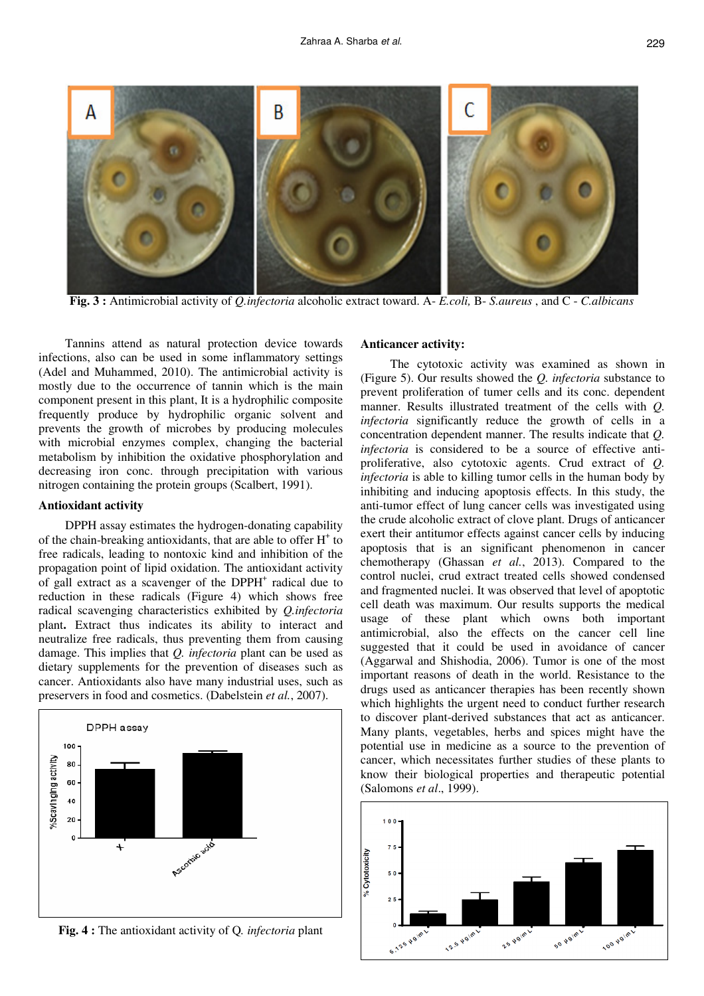

**Fig. 3 :** Antimicrobial activity of *Q.infectoria* alcoholic extract toward. A- *E.coli,* B- *S.aureus* , and C - *C.albicans*

Tannins attend as natural protection device towards infections, also can be used in some inflammatory settings (Adel and Muhammed, 2010). The antimicrobial activity is mostly due to the occurrence of tannin which is the main component present in this plant, It is a hydrophilic composite frequently produce by hydrophilic organic solvent and prevents the growth of microbes by producing molecules with microbial enzymes complex, changing the bacterial metabolism by inhibition the oxidative phosphorylation and decreasing iron conc. through precipitation with various nitrogen containing the protein groups (Scalbert, 1991).

#### **Antioxidant activity**

DPPH assay estimates the hydrogen-donating capability of the chain-breaking antioxidants, that are able to offer H<sup>+</sup> to free radicals, leading to nontoxic kind and inhibition of the propagation point of lipid oxidation. The antioxidant activity of gall extract as a scavenger of the DPPH<sup>+</sup> radical due to reduction in these radicals (Figure 4) which shows free radical scavenging characteristics exhibited by *Q.infectoria* plant**.** Extract thus indicates its ability to interact and neutralize free radicals, thus preventing them from causing damage. This implies that *Q. infectoria* plant can be used as dietary supplements for the prevention of diseases such as cancer. Antioxidants also have many industrial uses, such as preservers in food and cosmetics. (Dabelstein *et al.*, 2007).



**Fig. 4 :** The antioxidant activity of Q*. infectoria* plant

#### **Anticancer activity:**

 The cytotoxic activity was examined as shown in (Figure 5). Our results showed the *Q. infectoria* substance to prevent proliferation of tumer cells and its conc. dependent manner. Results illustrated treatment of the cells with *Q. infectoria* significantly reduce the growth of cells in a concentration dependent manner. The results indicate that *Q. infectoria* is considered to be a source of effective antiproliferative, also cytotoxic agents. Crud extract of *Q. infectoria* is able to killing tumor cells in the human body by inhibiting and inducing apoptosis effects. In this study, the anti-tumor effect of lung cancer cells was investigated using the crude alcoholic extract of clove plant. Drugs of anticancer exert their antitumor effects against cancer cells by inducing apoptosis that is an significant phenomenon in cancer chemotherapy (Ghassan *et al.*, 2013). Compared to the control nuclei, crud extract treated cells showed condensed and fragmented nuclei. It was observed that level of apoptotic cell death was maximum. Our results supports the medical usage of these plant which owns both important antimicrobial, also the effects on the cancer cell line suggested that it could be used in avoidance of cancer (Aggarwal and Shishodia, 2006). Tumor is one of the most important reasons of death in the world. Resistance to the drugs used as anticancer therapies has been recently shown which highlights the urgent need to conduct further research to discover plant-derived substances that act as anticancer. Many plants, vegetables, herbs and spices might have the potential use in medicine as a source to the prevention of cancer, which necessitates further studies of these plants to know their biological properties and therapeutic potential (Salomons *et al*., 1999).